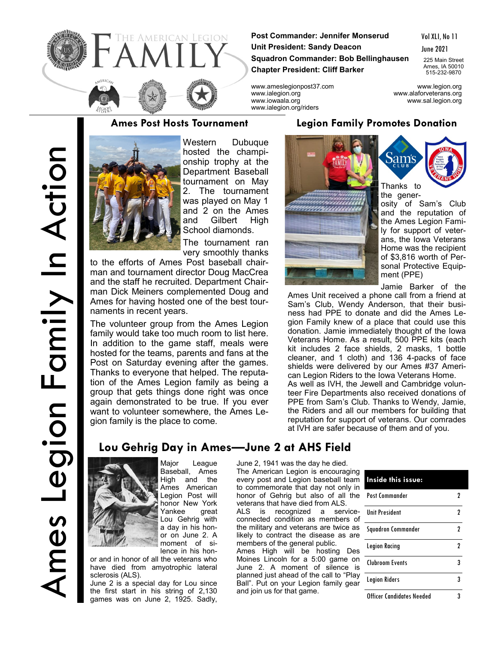

**Post Commander: Jennifer Monserud Unit President: Sandy Deacon Squadron Commander: Bob Bellinghausen Chapter President: Cliff Barker**

Vol XLI, No 11

June 2021

225 Main Street Ames, IA 50010 515-232-9870

www.ameslegionpost37.com www.legion.org www.ialegion.org www.alaforveterans.org www.iowaala.org www.sal.legion.org www.ialegion.org/riders

### **Ames Post Hosts Tournament**



Western Dubuque hosted the championship trophy at the Department Baseball tournament on May 2. The tournament was played on May 1 and 2 on the Ames and Gilbert High School diamonds.

The tournament ran very smoothly thanks

to the efforts of Ames Post baseball chairman and tournament director Doug MacCrea and the staff he recruited. Department Chairman Dick Meiners complemented Doug and Ames for having hosted one of the best tournaments in recent years.

The volunteer group from the Ames Legion family would take too much room to list here. In addition to the game staff, meals were hosted for the teams, parents and fans at the Post on Saturday evening after the games. Thanks to everyone that helped. The reputation of the Ames Legion family as being a group that gets things done right was once again demonstrated to be true. If you ever want to volunteer somewhere, the Ames Legion family is the place to come.

### **Legion Family Promotes Donation**



 $\operatorname{Sams}_{\text{cusp}}$ Thanks to

the gener-

osity of Sam's Club and the reputation of the Ames Legion Family for support of veterans, the Iowa Veterans Home was the recipient of \$3,816 worth of Personal Protective Equipment (PPE)

Jamie Barker of the

Ames Unit received a phone call from a friend at Sam's Club, Wendy Anderson, that their business had PPE to donate and did the Ames Legion Family knew of a place that could use this donation. Jamie immediately thought of the Iowa Veterans Home. As a result, 500 PPE kits (each kit includes 2 face shields, 2 masks, 1 bottle cleaner, and 1 cloth) and 136 4-packs of face shields were delivered by our Ames #37 American Legion Riders to the Iowa Veterans Home. As well as IVH, the Jewell and Cambridge volunteer Fire Departments also received donations of PPE from Sam's Club. Thanks to Wendy, Jamie, the Riders and all our members for building that reputation for support of veterans. Our comrades at IVH are safer because of them and of you.

# **Lou Gehrig Day in Ames—June 2 at AHS Field**



Major League Baseball, Ames<br>High and the High Ames American Legion Post will honor New York Yankee great Lou Gehrig with a day in his honor on June 2. A moment of silence in his hon-

or and in honor of all the veterans who have died from amyotrophic lateral sclerosis (ALS).

June 2 is a special day for Lou since the first start in his string of 2,130 games was on June 2, 1925. Sadly,

June 2, 1941 was the day he died. The American Legion is encouraging every post and Legion baseball team to commemorate that day not only in honor of Gehrig but also of all the veterans that have died from ALS.

ALS is recognized a serviceconnected condition as members of the military and veterans are twice as likely to contract the disease as are members of the general public.

Ames High will be hosting Des Moines Lincoln for a 5:00 game on June 2. A moment of silence is planned just ahead of the call to "Play Ball". Put on your Legion family gear and join us for that game.

| Inside this issue:        |   |
|---------------------------|---|
| Post Commander            |   |
| <b>Unit President</b>     | 2 |
| Squadron Commander        | 2 |
| Legion Racing             | 2 |
| Clubroom Events           | 3 |
| <b>Legion Riders</b>      | 3 |
| Officer Candidates Needed |   |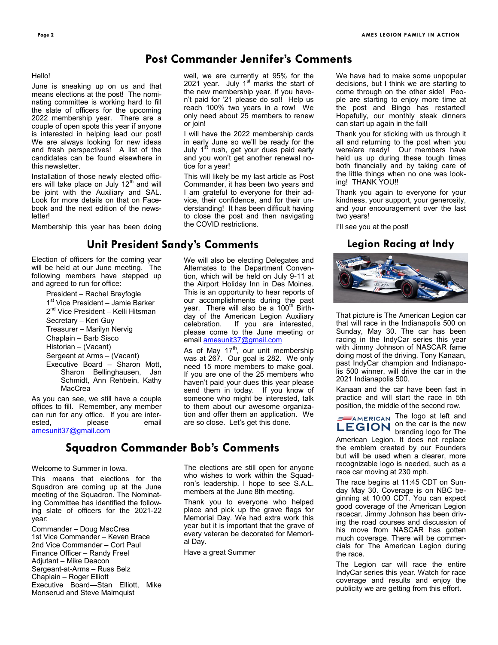### **Post Commander Jennifer's Comments**

### Hello!

June is sneaking up on us and that means elections at the post! The nominating committee is working hard to fill the slate of officers for the upcoming 2022 membership year. There are a couple of open spots this year if anyone is interested in helping lead our post! We are always looking for new ideas and fresh perspectives! A list of the candidates can be found elsewhere in this newsletter.

Installation of those newly elected officers will take place on July 12<sup>th</sup> and will be joint with the Auxiliary and SAL. Look for more details on that on Facebook and the next edition of the news**letter!** 

Membership this year has been doing

### **Unit President Sandy's Comments**

Election of officers for the coming year will be held at our June meeting. The following members have stepped up and agreed to run for office:

> President – Rachel Breyfogle 1<sup>st</sup> Vice President - Jamie Barker 2<sup>nd</sup> Vice President – Kelli Hitsman Secretary – Keri Guy Treasurer – Marilyn Nervig Chaplain – Barb Sisco Historian – (Vacant) Sergeant at Arms – (Vacant) Executive Board – Sharon Mott, Sharon Bellinghausen, Jan Schmidt, Ann Rehbein, Kathy MacCrea

As you can see, we still have a couple offices to fill. Remember, any member can run for any office. If you are interested, please email [amesunit37@gmail.com](mailto:amesunit37@gmail.com)

## **Squadron Commander Bob's Comments**

### Welcome to Summer in Iowa.

This means that elections for the Squadron are coming up at the June meeting of the Squadron. The Nominating Committee has identified the following slate of officers for the 2021-22 year:

Commander – Doug MacCrea 1st Vice Commander – Keven Brace 2nd Vice Commander – Cort Paul Finance Officer – Randy Freel Adjutant – Mike Deacon Sergeant-at-Arms – Russ Belz Chaplain – Roger Elliott Executive Board—Stan Elliott, Mike Monserud and Steve Malmquist

well, we are currently at 95% for the 2021 year. July  $1<sup>st</sup>$  marks the start of the new membership year, if you haven't paid for '21 please do so!! Help us reach 100% two years in a row! We only need about 25 members to renew or join!

I will have the 2022 membership cards in early June so we'll be ready for the July 1<sup>st</sup> rush, get your dues paid early and you won't get another renewal notice for a year!

This will likely be my last article as Post Commander, it has been two years and I am grateful to everyone for their advice, their confidence, and for their understanding! It has been difficult having to close the post and then navigating the COVID restrictions.

We will also be electing Delegates and Alternates to the Department Convention, which will be held on July 9-11 at the Airport Holiday Inn in Des Moines. This is an opportunity to hear reports of our accomplishments during the past year. There will also be a 100<sup>th</sup> Birthday of the American Legion Auxiliary celebration. If you are interested, please come to the June meeting or email [amesunit37@gmail.com](mailto:amesunit37@gmail.com)

As of May  $17<sup>th</sup>$ , our unit membership was at 267. Our goal is 282. We only need 15 more members to make goal. If you are one of the 25 members who haven't paid your dues this year please send them in today. If you know of someone who might be interested, talk to them about our awesome organization and offer them an application. We are so close. Let's get this done.

The elections are still open for anyone who wishes to work within the Squadron's leadership. I hope to see S.A.L. members at the June 8th meeting.

Thank you to everyone who helped place and pick up the grave flags for Memorial Day. We had extra work this year but it is important that the grave of every veteran be decorated for Memorial Day.

Have a great Summer

We have had to make some unpopular decisions, but I think we are starting to come through on the other side! People are starting to enjoy more time at the post and Bingo has restarted! Hopefully, our monthly steak dinners can start up again in the fall!

Thank you for sticking with us through it all and returning to the post when you were/are ready! Our members have held us up during these tough times both financially and by taking care of the little things when no one was looking! THANK YOU!!

Thank you again to everyone for your kindness, your support, your generosity, and your encouragement over the last two years!

I'll see you at the post!

### **Legion Racing at Indy**



That picture is The American Legion car that will race in the Indianapolis 500 on Sunday, May 30. The car has been racing in the IndyCar series this year with Jimmy Johnson of NASCAR fame doing most of the driving. Tony Kanaan, past IndyCar champion and Indianapolis 500 winner, will drive the car in the 2021 Indianapolis 500.

Kanaan and the car have been fast in practice and will start the race in 5th position, the middle of the second row.

> $\equiv$ AMERICAN The logo at left and on the car is the new branding logo for The

American Legion. It does not replace the emblem created by our Founders but will be used when a clearer, more recognizable logo is needed, such as a race car moving at 230 mph.

The race begins at 11:45 CDT on Sunday May 30. Coverage is on NBC beginning at 10:00 CDT. You can expect good coverage of the American Legion racecar. Jimmy Johnson has been driving the road courses and discussion of his move from NASCAR has gotten much coverage. There will be commercials for The American Legion during the race.

The Legion car will race the entire IndyCar series this year. Watch for race coverage and results and enjoy the publicity we are getting from this effort.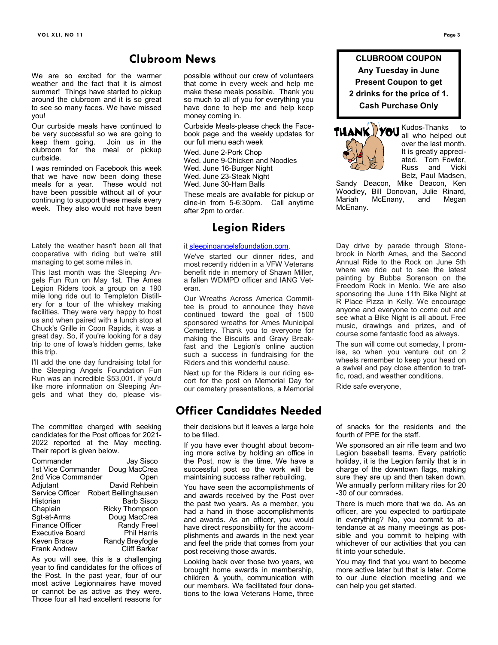### **Clubroom News**

We are so excited for the warmer weather and the fact that it is almost summer! Things have started to pickup around the clubroom and it is so great to see so many faces. We have missed you!

Our curbside meals have continued to be very successful so we are going to keep them going. Join us in the clubroom for the meal or pickup curbside.

I was reminded on Facebook this week that we have now been doing these meals for a year. These would not have been possible without all of your continuing to support these meals every week. They also would not have been

Lately the weather hasn't been all that cooperative with riding but we're still managing to get some miles in.

This last month was the Sleeping Angels Fun Run on May 1st. The Ames Legion Riders took a group on a 190 mile long ride out to Templeton Distillery for a tour of the whiskey making facilities. They were very happy to host us and when paired with a lunch stop at Chuck's Grille in Coon Rapids, it was a great day. So, if you're looking for a day trip to one of Iowa's hidden gems, take this trip.

I'll add the one day fundraising total for the Sleeping Angels Foundation Fun Run was an incredible \$53,001. If you'd like more information on Sleeping Angels and what they do, please vis-

The committee charged with seeking candidates for the Post offices for 2021- 2022 reported at the May meeting. Their report is given below.

| Commander              | Jay Sisco             |
|------------------------|-----------------------|
| 1st Vice Commander     | Doug MacCrea          |
| 2nd Vice Commander     | Open                  |
| Adjutant               | David Rehbein         |
| Service Officer        | Robert Bellinghausen  |
| Historian              | Barb Sisco            |
| Chaplain               | <b>Ricky Thompson</b> |
| Sgt-at-Arms            | Doug MacCrea          |
| Finance Officer        | <b>Randy Freel</b>    |
| <b>Executive Board</b> | <b>Phil Harris</b>    |
| Keven Brace            | Randy Breyfogle       |
| <b>Frank Andrew</b>    | <b>Cliff Barker</b>   |

As you will see, this is a challenging year to find candidates for the offices of the Post. In the past year, four of our most active Legionnaires have moved or cannot be as active as they were. Those four all had excellent reasons for

possible without our crew of volunteers that come in every week and help me make these meals possible. Thank you so much to all of you for everything you have done to help me and help keep money coming in.

Curbside Meals-please check the Facebook page and the weekly updates for our full menu each week

Wed. June 2-Pork Chop Wed. June 9-Chicken and Noodles Wed. June 16-Burger Night Wed. June 23-Steak Night Wed. June 30-Ham Balls

These meals are available for pickup or dine-in from 5-6:30pm. Call anytime after 2pm to order.

### **Legion Riders**

### it [sleepingangelsfoundation.com.](https://na01.safelinks.protection.outlook.com/?url=http%3A%2F%2Fsleepingangelsfoundation.com%2F&data=04%7C01%7C%7Ca68836271762476f1a0608d91b103740%7C84df9e7fe9f640afb435aaaaaaaaaaaa%7C1%7C0%7C637570578716752400%7CUnknown%7CTWFpbGZsb3d8eyJWIjoiMC4wLjAwMDAiLCJQ)

We've started our dinner rides, and most recently ridden in a VFW Veterans benefit ride in memory of Shawn Miller, a fallen WDMPD officer and IANG Veteran.

Our Wreaths Across America Committee is proud to announce they have continued toward the goal of 1500 sponsored wreaths for Ames Municipal Cemetery. Thank you to everyone for making the Biscuits and Gravy Breakfast and the Legion's online auction such a success in fundraising for the Riders and this wonderful cause.

Next up for the Riders is our riding escort for the post on Memorial Day for our cemetery presentations, a Memorial

### **Officer Candidates Needed**

their decisions but it leaves a large hole to be filled.

If you have ever thought about becoming more active by holding an office in the Post, now is the time. We have a successful post so the work will be maintaining success rather rebuilding.

You have seen the accomplishments of and awards received by the Post over the past two years. As a member, you had a hand in those accomplishments and awards. As an officer, you would have direct responsibility for the accomplishments and awards in the next year and feel the pride that comes from your post receiving those awards.

Looking back over those two years, we brought home awards in membership, children & youth, communication with our members. We facilitated four donations to the Iowa Veterans Home, three

**CLUBROOM COUPON Any Tuesday in June Present Coupon to get 2 drinks for the price of 1. Cash Purchase Only**



Kudos-Thanks to all who helped out over the last month. It is greatly appreciated. Tom Fowler, Russ and Vicki Belz, Paul Madsen,

Sandy Deacon, Mike Deacon, Ken Woodley, Bill Donovan, Julie Rinard, Mariah McEnany, and Megan McEnany.

Day drive by parade through Stonebrook in North Ames, and the Second Annual Ride to the Rock on June 5th where we ride out to see the latest painting by Bubba Sorenson on the Freedom Rock in Menlo. We are also sponsoring the June 11th Bike Night at R Place Pizza in Kelly. We encourage anyone and everyone to come out and see what a Bike Night is all about. Free music, drawings and prizes, and of course some fantastic food as always.

The sun will come out someday, I promise, so when you venture out on 2 wheels remember to keep your head on a swivel and pay close attention to traffic, road, and weather conditions.

Ride safe everyone,

of snacks for the residents and the fourth of PPE for the staff.

We sponsored an air rifle team and two Legion baseball teams. Every patriotic holiday, it is the Legion family that is in charge of the downtown flags, making sure they are up and then taken down. We annually perform military rites for 20 -30 of our comrades.

There is much more that we do. As an officer, are you expected to participate in everything? No, you commit to attendance at as many meetings as possible and you commit to helping with whichever of our activities that you can fit into your schedule.

You may find that you want to become more active later but that is later. Come to our June election meeting and we can help you get started.